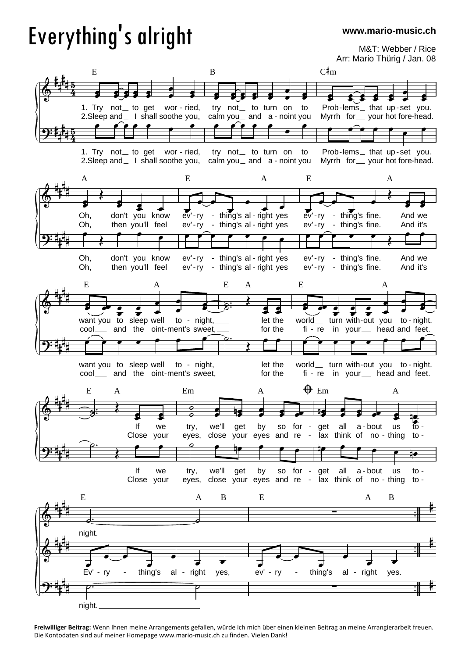## Everything's alright

**www.mario-music.ch**

M&T: Webber / Rice Arr: Mario Thürig / Jan. 08



**Freiwilliger Beitrag:** Wenn Ihnen meine Arrangements gefallen, würde ich mich über einen kleinen Beitrag an meine Arrangierarbeit freuen. Die Kontodaten sind auf meiner Homepage www.mario-music.ch zu finden. Vielen Dank!